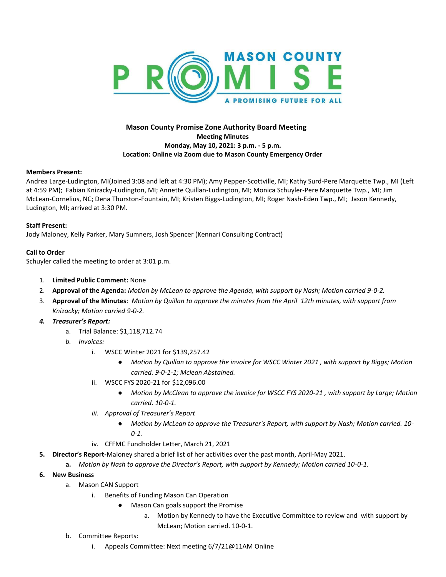

# **Mason County Promise Zone Authority Board Meeting Meeting Minutes Monday, May 10, 2021: 3 p.m. - 5 p.m. Location: Online via Zoom due to Mason County Emergency Order**

## **Members Present:**

Andrea Large-Ludington, MI(Joined 3:08 and left at 4:30 PM); Amy Pepper-Scottville, MI; Kathy Surd-Pere Marquette Twp., MI (Left at 4:59 PM); Fabian Knizacky-Ludington, MI; Annette Quillan-Ludington, MI; Monica Schuyler-Pere Marquette Twp., MI; Jim McLean-Cornelius, NC; Dena Thurston-Fountain, MI; Kristen Biggs-Ludington, MI; Roger Nash-Eden Twp., MI; Jason Kennedy, Ludington, MI; arrived at 3:30 PM.

## **Staff Present:**

Jody Maloney, Kelly Parker, Mary Sumners, Josh Spencer (Kennari Consulting Contract)

## **Call to Order**

Schuyler called the meeting to order at 3:01 p.m.

- 1. **Limited Public Comment:** None
- 2. **Approval of the Agenda:** *Motion by McLean to approve the Agenda, with support by Nash; Motion carried 9-0-2.*
- 3. **Approval of the Minutes**: *Motion by Quillan to approve the minutes from the April 12th minutes, with support from Knizacky; Motion carried 9-0-2.*
- *4. Treasurer's Report:* 
	- a. Trial Balance: \$1,118,712.74
	- *b. Invoices:* 
		- i. WSCC Winter 2021 for \$139,257.42
			- *Motion by Quillan to approve the invoice for WSCC Winter 2021 , with support by Biggs; Motion carried. 9-0-1-1; Mclean Abstained.*
		- ii. WSCC FYS 2020-21 for \$12,096.00
			- *Motion by McClean to approve the invoice for WSCC FYS 2020-21 , with support by Large; Motion carried. 10-0-1.*
		- *iii. Approval of Treasurer's Report*
			- *Motion by McLean to approve the Treasurer's Report, with support by Nash; Motion carried. 10- 0-1.*
		- iv. CFFMC Fundholder Letter, March 21, 2021
- **5. Director's Report-**Maloney shared a brief list of her activities over the past month, April-May 2021.
	- **a.** *Motion by Nash to approve the Director's Report, with support by Kennedy; Motion carried 10-0-1.*
- **6. New Business**
	- a. Mason CAN Support
		- i. Benefits of Funding Mason Can Operation
			- Mason Can goals support the Promise
				- a. Motion by Kennedy to have the Executive Committee to review and with support by McLean; Motion carried. 10-0-1.
	- b. Committee Reports:
		- i. Appeals Committee: Next meeting 6/7/21@11AM Online